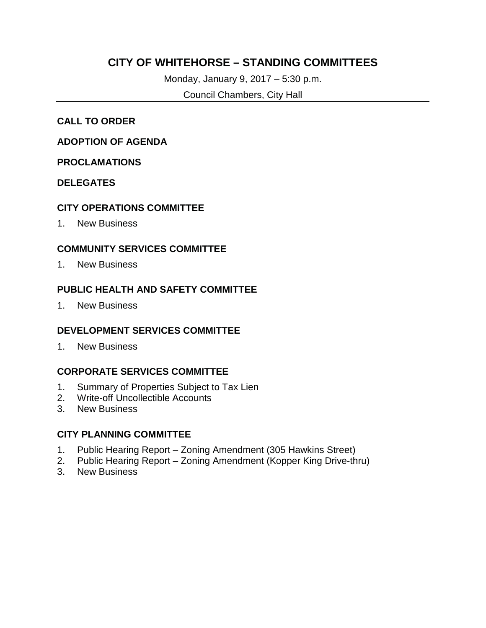## **CITY OF WHITEHORSE – STANDING COMMITTEES**

Monday, January 9, 2017 – 5:30 p.m.

Council Chambers, City Hall

#### **CALL TO ORDER**

#### **ADOPTION OF AGENDA**

#### **PROCLAMATIONS**

#### **DELEGATES**

#### **CITY OPERATIONS COMMITTEE**

1. New Business

#### **COMMUNITY SERVICES COMMITTEE**

1. New Business

#### **PUBLIC HEALTH AND SAFETY COMMITTEE**

1. New Business

#### **DEVELOPMENT SERVICES COMMITTEE**

1. New Business

#### **CORPORATE SERVICES COMMITTEE**

- 1. Summary of Properties Subject to Tax Lien
- 2. Write-off Uncollectible Accounts
- 3. New Business

#### **CITY PLANNING COMMITTEE**

- 1. Public Hearing Report Zoning Amendment (305 Hawkins Street)
- 2. Public Hearing Report Zoning Amendment (Kopper King Drive-thru)
- 3. New Business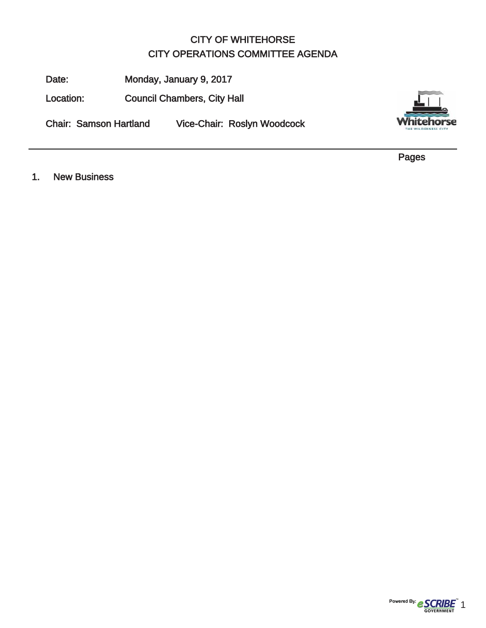## CITY OF WHITEHORSE CITY OPERATIONS COMMITTEE AGENDA

Date: Monday, January 9, 2017

Location: Council Chambers, City Hall

Chair: Samson Hartland Vice-Chair: Roslyn Woodcock



Pages

1. New Business

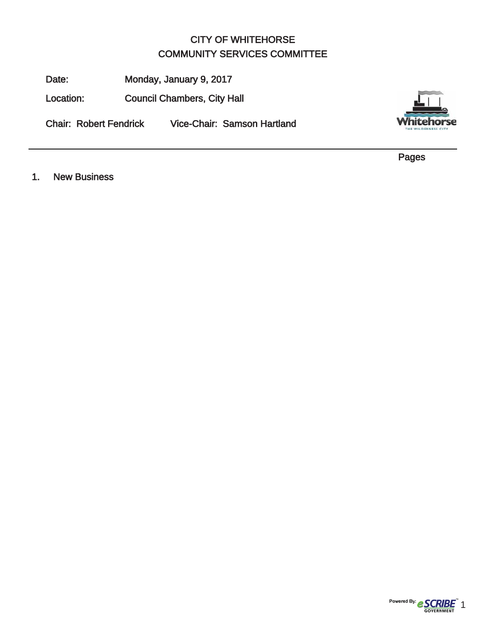## CITY OF WHITEHORSE COMMUNITY SERVICES COMMITTEE

Date: Monday, January 9, 2017

Location: Council Chambers, City Hall

Chair: Robert Fendrick Vice-Chair: Samson Hartland



Pages

1. New Business

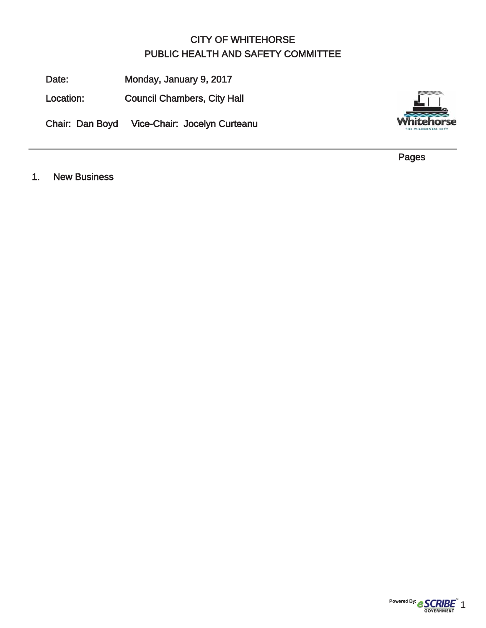## CITY OF WHITEHORSE PUBLIC HEALTH AND SAFETY COMMITTEE

Date: Monday, January 9, 2017

Location: Council Chambers, City Hall

Chair: Dan Boyd Vice-Chair: Jocelyn Curteanu



Pages

1. New Business

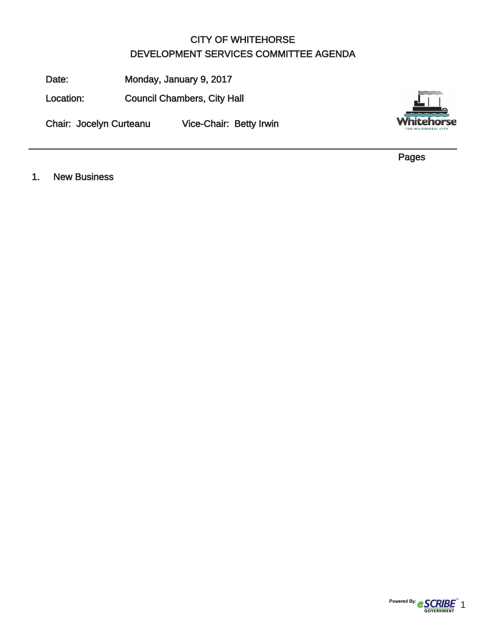## CITY OF WHITEHORSE DEVELOPMENT SERVICES COMMITTEE AGENDA

Date: Monday, January 9, 2017

Location: Council Chambers, City Hall

Chair: Jocelyn Curteanu Vice-Chair: Betty Irwin



Pages

1. New Business

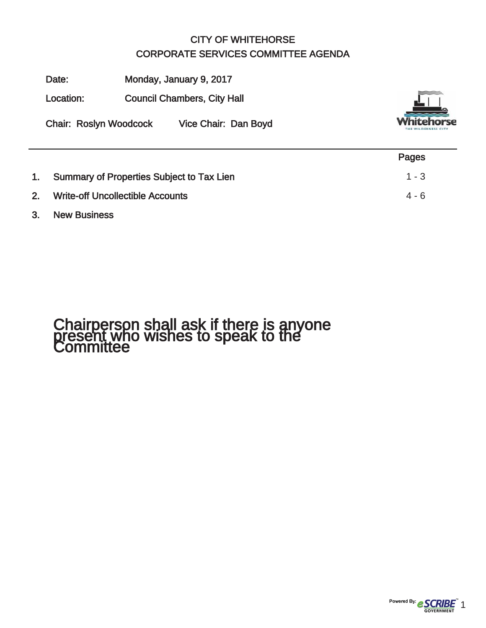## CITY OF WHITEHORSE CORPORATE SERVICES COMMITTEE AGENDA

Date: Monday, January 9, 2017

Location: Council Chambers, City Hall

Chair: Roslyn Woodcock Vice Chair: Dan Boyd



|    |                                              | Pages   |
|----|----------------------------------------------|---------|
|    | 1. Summary of Properties Subject to Tax Lien | $1 - 3$ |
| 2. | <b>Write-off Uncollectible Accounts</b>      | $4 - 6$ |

#### 3. New Business

# Chairperson shall ask if there is anyone present who wishes to speak to the Committee

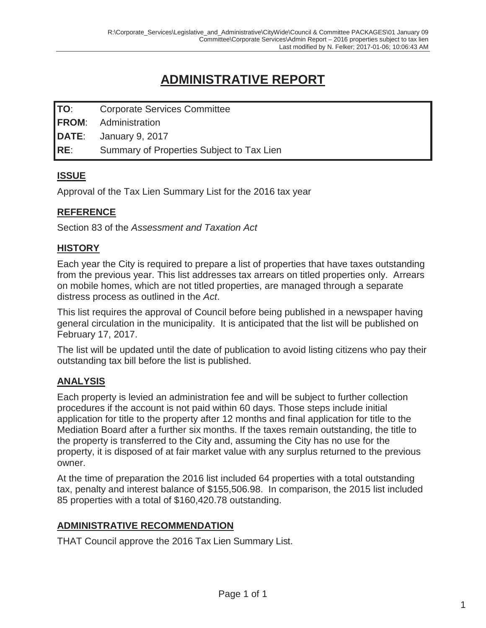## **ADMINISTRATIVE REPORT**

| <b>TO:</b> | <b>Corporate Services Committee</b>        |
|------------|--------------------------------------------|
|            | <b>FROM:</b> Administration                |
|            | $\overline{\text{DATE}}$ : January 9, 2017 |
| IRE:       | Summary of Properties Subject to Tax Lien  |

### **ISSUE**

Approval of the Tax Lien Summary List for the 2016 tax year

## **REFERENCE**

Section 83 of the *Assessment and Taxation Act*

#### **HISTORY**

Each year the City is required to prepare a list of properties that have taxes outstanding from the previous year. This list addresses tax arrears on titled properties only. Arrears on mobile homes, which are not titled properties, are managed through a separate distress process as outlined in the *Act*.

This list requires the approval of Council before being published in a newspaper having general circulation in the municipality. It is anticipated that the list will be published on February 17, 2017.

The list will be updated until the date of publication to avoid listing citizens who pay their outstanding tax bill before the list is published.

#### **ANALYSIS**

Each property is levied an administration fee and will be subject to further collection procedures if the account is not paid within 60 days. Those steps include initial application for title to the property after 12 months and final application for title to the Mediation Board after a further six months. If the taxes remain outstanding, the title to the property is transferred to the City and, assuming the City has no use for the property, it is disposed of at fair market value with any surplus returned to the previous owner.

At the time of preparation the 2016 list included 64 properties with a total outstanding tax, penalty and interest balance of \$155,506.98. In comparison, the 2015 list included 85 properties with a total of \$160,420.78 outstanding.

#### **ADMINISTRATIVE RECOMMENDATION**

THAT Council approve the 2016 Tax Lien Summary List.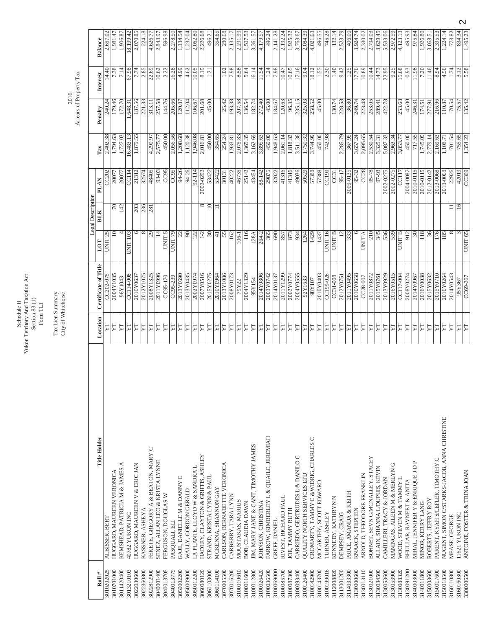Schedule II<br>Yukon Territory And Taxation Act<br>Section 83 (1)<br>Form TL1 Yukon Territory And Taxation Act Section 83 (1) Schedule II Form TL1

Tax Lien Summary<br>City of Whitehorse Tax Lien Summary City of Whitehorse

Arrears of Property Tax  $2016$  Arrears of Property Tax

| Roll $#$   | Title Holder                                          |                       | Certificate of Title | LOT                | Legal Description<br><b>BLK</b> | <b>PLAN</b> | Tax       | Penalty  | Interest | Balance   |
|------------|-------------------------------------------------------|-----------------------|----------------------|--------------------|---------------------------------|-------------|-----------|----------|----------|-----------|
| 3010202025 | ALBISSER, BERT                                        | Location<br>N         | CC202-075            | UNIT <sub>25</sub> |                                 | CC202       | 2,402.38  | 240.24   | 14.40    | 2,657.02  |
| 3010701000 | HUGGARD, MAUREEN VERONICA                             | YT                    | 2004Y1035            | $\approx$          | 70                              | 20077       | 1,794.63  | 179.46   | 7.38     | 1,981.47  |
| 3011420400 | KEMSHEAD, PATRICIA M & JAMES A                        | N                     | 96Y1043              |                    | 142                             | 20077       | 1,727.03  | 172.70   | 7.14     | 1,906.87  |
| 3013210103 | 40782 YUKON INC                                       | ΣŢ                    | CC114-008            | <b>UNIT 103</b>    |                                 | CC114       | 16,483.13 | 1,648.31 | 67.98    | 18,199.42 |
| 3022030600 | HUGGARD, MAUREEN V & ERIC JAN                         | N                     | 2010Y0637            | 6                  | 203                             | 21312       | 1,875.55  | 187.56   | 7.74     | 2,070.85  |
| 3022360800 | FEKETE, GREGORY A & BEATON, MARY C<br>KASSNER, ASHEYA | 7                     | 2012Y1075            | $\infty$           | 236                             | 32574       |           | 221.33   | 2.85     | 224.18    |
| 3022812900 |                                                       | <b>ZL</b>             | 2008Y1325            | 29                 | 281                             | 48405       | 4,290.97  | 313.11   | 22.69    | 4,626.7   |
| 3040001400 | SENEZ, ALLAN LEO & KRISTA LYNNE                       | H                     | 2011Y0996            | $\vec{4}$          |                                 | 93-03       | 2,575.77  | 257.58   | 10.62    | 2,843.97  |
| 3040013705 | FERGUSON, DOUGLAS W                                   | ♬                     | CC95-170             | UNIT <sub>5</sub>  |                                 | CC95        | 450.00    | 144.76   | 2.22     | 596.98    |
| 3040013779 | PASQUALI, ELI                                         | H                     | CC95-239             | UNIT <sub>79</sub> |                                 | CC95        | 2,056.56  | 205.66   | 16.28    | 2,278.50  |
| 3050002200 | GAJE, DANIELLE M & DANNY C                            | A                     | 2013Y0690            | S                  |                                 | 94-26       | 1,208.68  | 120.87   | 4.99     | 1,334.54  |
| 3050009000 | WALLY, GORDON GERALD                                  | <b>ZL</b>             | 2013Y0435            | 90                 |                                 | 94-26       | 1,120.38  | 112.04   | 4.62     | 1,237.04  |
| 3050012200 | LA PLANTE, LLOYD W & SANDRA L                         | YT                    | 2002Y0974            | 122                |                                 | $92 - 114$  | 1,946.08  | 106.67   | 10.05    | 2,062.80  |
| 3060080120 | HADLEY, CLAYTON & GRIFFIS, ASHLEY                     | ZГ                    | 2007Y0516            | $1-2$              | ${}^{\circ}$                    | 2002-0202   | 2,016.81  | 201.68   | 8.19     | 2,226.68  |
| 3060103000 | STRAND, KRISTA LYNN & PAUL                            | H                     | 2015Y0275            | $\overline{30}$    | $\supseteq$                     | 53422       | 450.00    | 45.00    | 1.21     | 496.21    |
| 3060114100 | MCKENNA, SHANNON GAY                                  | A                     | 2010Y0964            | $\pm$              | 〓                               | 53422       | 354.65    |          |          | 354.65    |
| 3070005500 | CARLSON, BERNADETTE VERONICA                          | H                     | 2013Y1086            | 55                 |                                 | 30131       | 254.24    | 25.42    | 1.02     | 280.68    |
| 3070016200 | CARBERRY, TARA LYNN                                   | H                     | 2008Y0173            | 162                |                                 | 40222       | 1,933.81  | 193.38   | 7.98     | 2,135.17  |
| 3100010610 | MOUSTAKAS, MARIUS                                     | ΣŢ                    | 79Y22                | 106-1              |                                 | 46735       | 2,075.83  | 207.58   | 8.58     | 2,291.99  |
| 3100011600 | BOB, CLAUDIA DAWN                                     | H                     | 2004Y1329            | 116                |                                 | 25142       | 1,365.35  | 136.54   | 5.64     | 1,507.53  |
| 3100012800 | JIM, MARY JANE & CANT, TIMOTHY JAMES                  | H                     | 95Y154               | 128A               |                                 | 43454       | 3,162.69  | 182.74   | 16.14    | 3,361.57  |
| 3100026420 | JOHNSON, CHRISTINA                                    | H                     | 2014Y0806            | $264 - 2$          |                                 | 88-142      | 3,895.63  | 272.40   | 11.54    | 4,179.5   |
| 3100036500 | FARROW, KIMBERLEY L & QUAILE, JEREMIAH                | N                     | 2003Y0742            | 365                |                                 | 29875       | 450.00    | 45.00    | 1.24     | 496.24    |
| 3100069000 | GREFF, DANIEL                                         | YT                    | 2014Y0137            | 690                |                                 | 32022       | 1,948.63  | 184.67   | 7.98     | 2,141.28  |
| 3100085700 | RIVEST, RICHARD PAUL                                  | ΣŢ                    | 2011Y1299            | 857                |                                 | 41316       | 2,061.14  | 120.63   | 10.47    | 2,192.24  |
| 3100087300 | JOE, TAMMY RUTH                                       | ΣŢ                    | 2002Y0774            | 873                |                                 | 41316       | 1,818.32  | 96.35    | 10.65    | 1,925.32  |
| 3100093400 | CARRIEDO, GERTRUDES L & DANILO C                      | $\Gamma\Gamma$        | 2004Y0555            | 934                |                                 | 49036       | 3,511.36  | 235.15   | 17.16    | 3,763.67  |
| 3100126400 | QUALITY NORTH SERVICES LTD                            | Z                     | 92Y1633              | 1264               |                                 | 50529       | 1,750.32  | 325.03   | 9.04     | 2,084.39  |
| 3100142900 | CROMARTY, TAMMY E & WIDRIG, CHARLES C                 | H                     | 701 X 86             | 1429               |                                 | 57388       | 3,744.99  | 258.52   | 18.12    | 4,021.63  |
| 3100143700 | MCCARTHY, SCOTT EDWARD                                | YT                    | 2010Y0403            | 1437               |                                 | 57388       | 450.00    | 45.00    | 1.55     | 496.55    |
| 3100199016 | TURNER, ASHLEY                                        | H                     | CC199-026            | UNIT <sub>16</sub> |                                 | CC199       | 742.98    |          | 2.30     | 745.28    |
| 3112008820 | KENNEDY, KATHRYN N                                    | ΣL                    | $CC31-008$           | <b>UNIT B</b>      |                                 | CC31        |           | 130.74   | 1.40     | 132.14    |
| 3113001200 | DEMPSEY, CRAIG                                        | $\boldsymbol{\Sigma}$ | 2012Y0751            | $\overline{c}$     |                                 | 95-17       | 2,285.79  | 228.58   | 9.42     | 2,523.79  |
| 3114033300 | PRICE, AMANDA & KEITH                                 | H                     | 2011Y0495            | 333                |                                 | 2009-0135   | 367.95    | 36.80    | 1.25     | 406.00    |
| 3130000600 | KNAACK, STEPHEN                                       | <b>ZL</b>             | 2010Y0658            | $\circ$            |                                 | 95-32       | 3,657.24  | 249.74   | 17.76    | 3,924.74  |
| 3130013110 | ARNOLD, THEODORE FRANKLIN                             | N                     | $CC28-007$           | <b>UNIT A</b>      |                                 | CC8         | 2,095.65  | 223.48   | 10.89    | 2,330.02  |
| 3130021000 | BOHNET, SEVN G/MCNALLEY, STACEY                       | H                     | 2011Y0872            | 210                |                                 | 95-78       | 2,530.54  | 253.05   | 10.44    | 2,794.03  |
| 3130034500 | ALLAIN, SHANNA L/DUPUIS, KEVIN                        | <b>ZL</b>             | 2015Y0761            | 345                |                                 | 97-93       | 3,325.31  | 289.41   | 14.73    | 3,629.45  |
| 3130053600 | CAMILLERI, TRACY & JORDAN                             | YТ                    | 2013Y0929            | 536                |                                 | 2002-0275   | 5,087.33  | 422.78   | 22.95    | 5,533.06  |
| 3130053900 | MANINGAS, AILEEN M & MERLYN G                         | ΣŢ                    | 2016Y0515            | 539                |                                 | 2002-0275   | 2,963.34  |          | 9.25     | 2,972.59  |
| 3130088320 | WOOD, STEVEN M & TAMMY L                              | ΣŢ                    | CC117-004            | UNIT B             |                                 | CC117       | 3,853.77  | 253.68   | 15.68    | 4,123.13  |
| 3130091200 | BHULLAR, RAVNEET & ANITA                              | <b>ZL</b>             | 2008Y0274            | 912                |                                 | 2004-0087   | 450.00    | 45.00    | 0.93     | 495.93    |
| 3140003000 | MIRAL, JENNIFER Y & ENRIQUE J D P                     | YT                    | 2014Y0967            | $\approx$          |                                 | 2010-0115   | 717.55    | 246.31   | 11.98    | 975.84    |
| 3140011800 | MINOR, KERRY LANG                                     | <b>ZL</b>             | 2016Y0038            | 118                |                                 | 2010-0115   | 1,745.09  | 174.51   | 7.20     | 1,926.80  |
| 3150003600 | ROBERTS, JEFFRY ROY                                   | H                     | 2015Y0632            | 36                 |                                 | 2012-0142   | 2,779.14  | 277.91   | 11.46    | 3,068.5   |
| 3150017600 | PARENT, KYAH S/LEFLER, TIMOTHY C                      | H                     | 2015Y0710            | 176                |                                 | 2013-0068   | 2,169.63  | 216.96   | 8.94     | 2,395.53  |
| 3150018500 | NUGENT, SIMON C/STARKS-JACOB, ANNA CHRISTINE          | N                     | 2016Y0264            | 185                |                                 | 2013-0068   | 1,108.71  | 110.87   | 4.56     | 1,224.14  |
| 3160110800 | MEASE, GEORGE                                         | N                     | 2014Y0543            | ∞                  | $\equiv$                        | 22926       | 701.54    | 70.54    | 1.74     | 773.82    |
| 3160160300 | 11621 YUKON INC                                       | YT                    | 95Y367               | 3                  | $16 \,$                         | 42019       | 755.65    | 75.57    | 3.12     | 834.34    |
| 3300006500 | ANTOINE, FOSTER & TRINA JOAN                          | ΣŢ                    | CC69-267             | UNIT <sub>65</sub> |                                 | CC369       | 1,354.23  | 135.42   | 5.58     | 1,495.23  |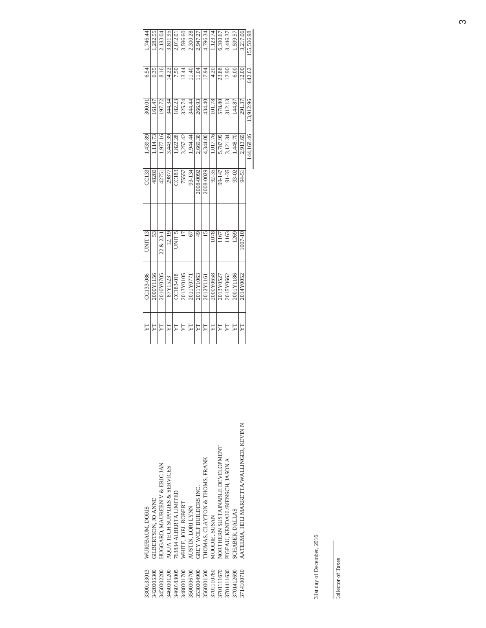| 300133013   | WURFBAUM, DORIS                           | <b>Z</b> | CC133-086 | UNIT <sub>13</sub> | <b>CC133</b> | 1,439.89   | 300.01    | 6.54         | 1.746.44   |
|-------------|-------------------------------------------|----------|-----------|--------------------|--------------|------------|-----------|--------------|------------|
| 3420005300  | GILBERTSON, JO ANNE                       | F        | 2000Y1156 | 53                 | 48280        | 1.114.73   | 161.47    | 6.35         | 1,282.55   |
| 3450002200  | HUGGARD, MAUREEN V & ERIC JAN             | Ë        | 2010Y0705 | 22 & 23-           | 42751        | 1.977.16   | 197.72    | 8.16         | 2,183.04   |
| 3460001200  | AQUA TECH SUPPLIES & SERVICES             | 异        | 87Y1523   | 12, 19             | 29877        | 3,443.39   | 344.34    | 14.22        | 3,801.95   |
| 3460183005  | 763834 ALBERTA LIMITED                    | H        | CC183-018 | C LINC             | CC183        | 1,822.28   | 182.23    | 7.50         | 2,012.01   |
| 3480001700  | WHITE, JOEL ROBERT                        | F        | 2013Y0105 |                    | 75557        | 3,257.42   | 325.74    | 13.44        | 3,596.60   |
| \$500006700 | AUSTIN, LORI LYNN                         | YT       | 2011Y0771 | 67                 | 93-134       | 1,944.44   | 344.44    | 11.40        | 2.300.28   |
| 3530004900  | GREY WOLF BUILDERS INC.                   | YT       | 2011Y1063 | $\frac{1}{4}$      | 2008-0092    | 2,669.30   | 266.93    | 11.04        | 2.947.27   |
| 8560001500  | <b>THOMAS, CLAYTON &amp; THOMS, FRANK</b> | YT       | 2012Y1161 | $\frac{5}{2}$      | 2008-0029    | 4.344.00   | 434.40    | 17.94        | 4,796.34   |
| 701110780   | MOODIE, SUSAN                             | <b>Z</b> | 2000Y0658 | 1078               | 92-35        | 1.017.76   | 101.78    | 4.20         | 1,123.74   |
| 701111670   | NORTHERN SUSTAINABLE DEVELOPMENT          | H        | 2013Y0527 | 1167               | 99-147       | 5,787.99   | 578.80    | 23.88        | 6,390.67   |
| 3701411630  | PIGEAU, KENDALL/BIENSCH, JASON A          | H        | 2015Y0662 | 1163               | $91 - 35$    | 3,121.34   | 312.13    | 12.90        | 3,446.37   |
| 701412690   | SCHABER, DALLAS                           | H        | 2001Y1186 | 1269               | 93-02        | 1,448.70   | 144.87    | 6.00         | 1,599.57   |
| 714100710   | AATELMA, HELI MARKETTA/WALLINGER, KEVIN N | H        | 2014Y0052 | 1007-10            | 94-51        | 2.913.69   | 291.37    | <b>12.00</b> | 3,217.06   |
|             |                                           |          |           |                    |              | 144,168.46 | 13,912.96 | 642.62       | 155.506.98 |
|             |                                           |          |           |                    |              |            |           |              |            |

31st day of December, 2016 31st day of December, 2016

Collector of Taxes Collector of Taxes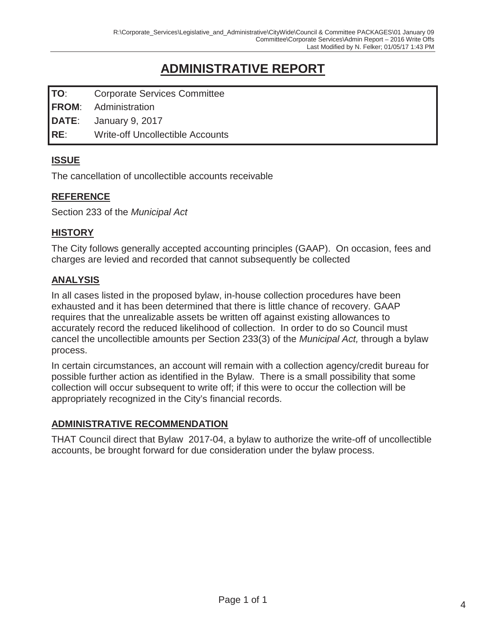## **ADMINISTRATIVE REPORT**

| <b>TO:</b> | <b>Corporate Services Committee</b> |  |
|------------|-------------------------------------|--|
|------------|-------------------------------------|--|

**FROM**: Administration

**DATE**: January 9, 2017

**RE**: Write-off Uncollectible Accounts

## **ISSUE**

The cancellation of uncollectible accounts receivable

### **REFERENCE**

Section 233 of the *Municipal Act*

### **HISTORY**

The City follows generally accepted accounting principles (GAAP). On occasion, fees and charges are levied and recorded that cannot subsequently be collected

### **ANALYSIS**

In all cases listed in the proposed bylaw, in-house collection procedures have been exhausted and it has been determined that there is little chance of recovery. GAAP requires that the unrealizable assets be written off against existing allowances to accurately record the reduced likelihood of collection. In order to do so Council must cancel the uncollectible amounts per Section 233(3) of the *Municipal Act,* through a bylaw process.

In certain circumstances, an account will remain with a collection agency/credit bureau for possible further action as identified in the Bylaw. There is a small possibility that some collection will occur subsequent to write off; if this were to occur the collection will be appropriately recognized in the City's financial records.

#### **ADMINISTRATIVE RECOMMENDATION**

THAT Council direct that Bylaw 2017-04, a bylaw to authorize the write-off of uncollectible accounts, be brought forward for due consideration under the bylaw process.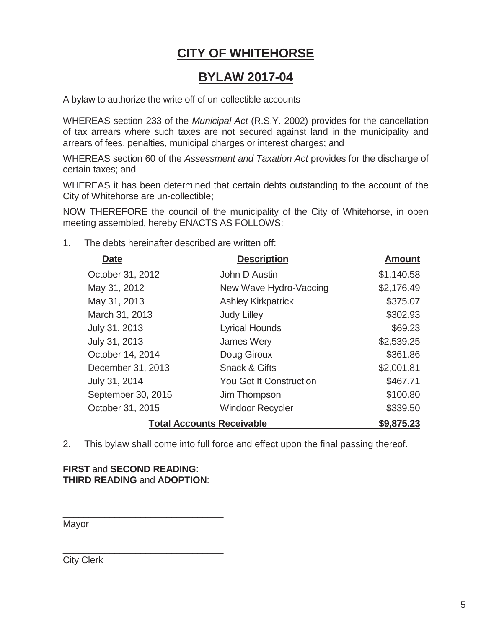## **CITY OF WHITEHORSE**

## **BYLAW 2017-04**

A bylaw to authorize the write off of un-collectible accounts

WHEREAS section 233 of the *Municipal Act* (R.S.Y. 2002) provides for the cancellation of tax arrears where such taxes are not secured against land in the municipality and arrears of fees, penalties, municipal charges or interest charges; and

WHEREAS section 60 of the *Assessment and Taxation Act* provides for the discharge of certain taxes; and

WHEREAS it has been determined that certain debts outstanding to the account of the City of Whitehorse are un-collectible;

NOW THEREFORE the council of the municipality of the City of Whitehorse, in open meeting assembled, hereby ENACTS AS FOLLOWS:

1. The debts hereinafter described are written off:

| Date               | <b>Description</b>               | <b>Amount</b> |
|--------------------|----------------------------------|---------------|
| October 31, 2012   | John D Austin                    | \$1,140.58    |
| May 31, 2012       | New Wave Hydro-Vaccing           | \$2,176.49    |
| May 31, 2013       | <b>Ashley Kirkpatrick</b>        | \$375.07      |
| March 31, 2013     | <b>Judy Lilley</b>               | \$302.93      |
| July 31, 2013      | <b>Lyrical Hounds</b>            | \$69.23       |
| July 31, 2013      | James Wery                       | \$2,539.25    |
| October 14, 2014   | Doug Giroux                      | \$361.86      |
| December 31, 2013  | <b>Snack &amp; Gifts</b>         | \$2,001.81    |
| July 31, 2014      | <b>You Got It Construction</b>   | \$467.71      |
| September 30, 2015 | Jim Thompson                     | \$100.80      |
| October 31, 2015   | <b>Windoor Recycler</b>          | \$339.50      |
|                    | <b>Total Accounts Receivable</b> | \$9,875.23    |

2. This bylaw shall come into full force and effect upon the final passing thereof.

#### **FIRST** and **SECOND READING**: **THIRD READING** and **ADOPTION**:

\_\_\_\_\_\_\_\_\_\_\_\_\_\_\_\_\_\_\_\_\_\_\_\_\_\_\_\_\_\_\_

Mayor

\_\_\_\_\_\_\_\_\_\_\_\_\_\_\_\_\_\_\_\_\_\_\_\_\_\_\_\_\_\_\_ City Clerk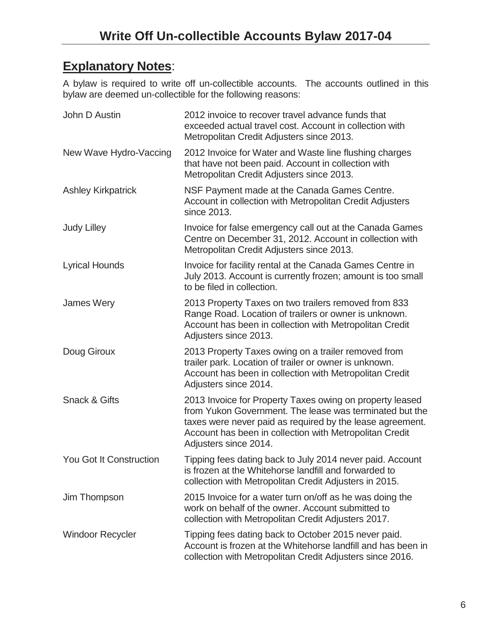## **Explanatory Notes**:

A bylaw is required to write off un-collectible accounts. The accounts outlined in this bylaw are deemed un-collectible for the following reasons:

| John D Austin                  | 2012 invoice to recover travel advance funds that<br>exceeded actual travel cost. Account in collection with<br>Metropolitan Credit Adjusters since 2013.                                                                                                            |
|--------------------------------|----------------------------------------------------------------------------------------------------------------------------------------------------------------------------------------------------------------------------------------------------------------------|
| New Wave Hydro-Vaccing         | 2012 Invoice for Water and Waste line flushing charges<br>that have not been paid. Account in collection with<br>Metropolitan Credit Adjusters since 2013.                                                                                                           |
| <b>Ashley Kirkpatrick</b>      | NSF Payment made at the Canada Games Centre.<br>Account in collection with Metropolitan Credit Adjusters<br>since 2013.                                                                                                                                              |
| <b>Judy Lilley</b>             | Invoice for false emergency call out at the Canada Games<br>Centre on December 31, 2012. Account in collection with<br>Metropolitan Credit Adjusters since 2013.                                                                                                     |
| <b>Lyrical Hounds</b>          | Invoice for facility rental at the Canada Games Centre in<br>July 2013. Account is currently frozen; amount is too small<br>to be filed in collection.                                                                                                               |
| James Wery                     | 2013 Property Taxes on two trailers removed from 833<br>Range Road. Location of trailers or owner is unknown.<br>Account has been in collection with Metropolitan Credit<br>Adjusters since 2013.                                                                    |
| Doug Giroux                    | 2013 Property Taxes owing on a trailer removed from<br>trailer park. Location of trailer or owner is unknown.<br>Account has been in collection with Metropolitan Credit<br>Adjusters since 2014.                                                                    |
| <b>Snack &amp; Gifts</b>       | 2013 Invoice for Property Taxes owing on property leased<br>from Yukon Government. The lease was terminated but the<br>taxes were never paid as required by the lease agreement.<br>Account has been in collection with Metropolitan Credit<br>Adjusters since 2014. |
| <b>You Got It Construction</b> | Tipping fees dating back to July 2014 never paid. Account<br>is frozen at the Whitehorse landfill and forwarded to<br>collection with Metropolitan Credit Adjusters in 2015.                                                                                         |
| Jim Thompson                   | 2015 Invoice for a water turn on/off as he was doing the<br>work on behalf of the owner. Account submitted to<br>collection with Metropolitan Credit Adjusters 2017.                                                                                                 |
| <b>Windoor Recycler</b>        | Tipping fees dating back to October 2015 never paid.<br>Account is frozen at the Whitehorse landfill and has been in<br>collection with Metropolitan Credit Adjusters since 2016.                                                                                    |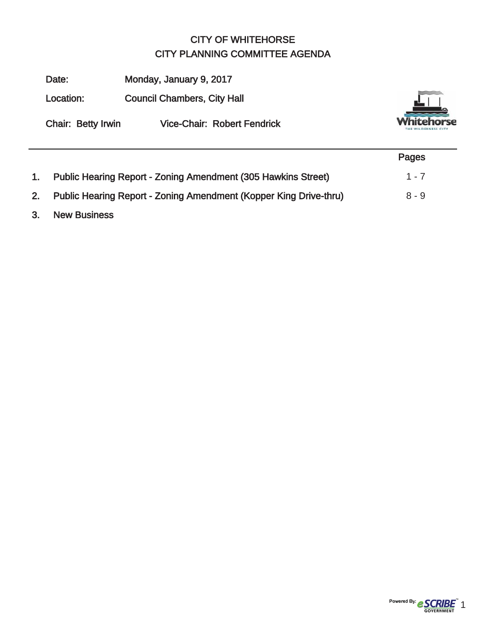## CITY OF WHITEHORSE CITY PLANNING COMMITTEE AGENDA

|    | Date:                     | Monday, January 9, 2017                                              |         |
|----|---------------------------|----------------------------------------------------------------------|---------|
|    | Location:                 | <b>Council Chambers, City Hall</b>                                   |         |
|    | <b>Chair: Betty Irwin</b> | <b>Vice-Chair: Robert Fendrick</b>                                   |         |
|    |                           |                                                                      | Pages   |
| 1. |                           | <b>Public Hearing Report - Zoning Amendment (305 Hawkins Street)</b> | $1 - 7$ |
| 2. |                           | Public Hearing Report - Zoning Amendment (Kopper King Drive-thru)    | $8 - 9$ |

3. New Business

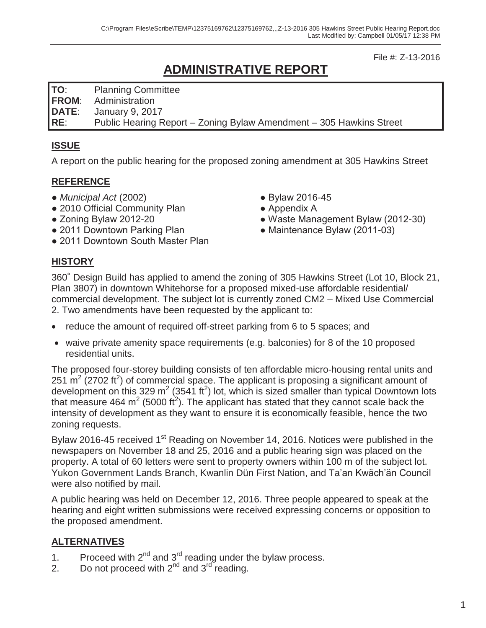File #: Z-13-2016

## **ADMINISTRATIVE REPORT**

**TO**: Planning Committee

**FROM**: Administration

**DATE**: January 9, 2017

**RE**: Public Hearing Report – Zoning Bylaw Amendment – 305 Hawkins Street

## **ISSUE**

A report on the public hearing for the proposed zoning amendment at 305 Hawkins Street

## **REFERENCE**

- *Municipal Act* (2002)
- 2010 Official Community Plan
- Zoning Bylaw 2012-20
- 2011 Downtown Parking Plan
- 2011 Downtown South Master Plan
- Bylaw 2016-45
- Appendix A
- Waste Management Bylaw (2012-30)
- Maintenance Bylaw (2011-03)

## **HISTORY**

360˚ Design Build has applied to amend the zoning of 305 Hawkins Street (Lot 10, Block 21, Plan 3807) in downtown Whitehorse for a proposed mixed-use affordable residential/ commercial development. The subject lot is currently zoned CM2 – Mixed Use Commercial 2. Two amendments have been requested by the applicant to:

- reduce the amount of required off-street parking from 6 to 5 spaces; and
- waive private amenity space requirements (e.g. balconies) for 8 of the 10 proposed residential units.

The proposed four-storey building consists of ten affordable micro-housing rental units and 251  $\text{m}^2$  (2702 ft<sup>2</sup>) of commercial space. The applicant is proposing a significant amount of development on this 329 m<sup>2</sup> (3541 ft<sup>2</sup>) lot, which is sized smaller than typical Downtown lots that measure 464 m<sup>2</sup> (5000 ft<sup>2</sup>). The applicant has stated that they cannot scale back the intensity of development as they want to ensure it is economically feasible, hence the two zoning requests.

Bylaw 2016-45 received 1<sup>st</sup> Reading on November 14, 2016. Notices were published in the newspapers on November 18 and 25, 2016 and a public hearing sign was placed on the property. A total of 60 letters were sent to property owners within 100 m of the subject lot. Yukon Government Lands Branch, Kwanlin Dün First Nation, and Ta'an Kwäch'än Council were also notified by mail.

A public hearing was held on December 12, 2016. Three people appeared to speak at the hearing and eight written submissions were received expressing concerns or opposition to the proposed amendment.

## **ALTERNATIVES**

- 1. Proceed with  $2^{nd}$  and  $3^{rd}$  reading under the bylaw process.
- 2. Do not proceed with  $2^{nd}$  and  $3^{rd}$  reading.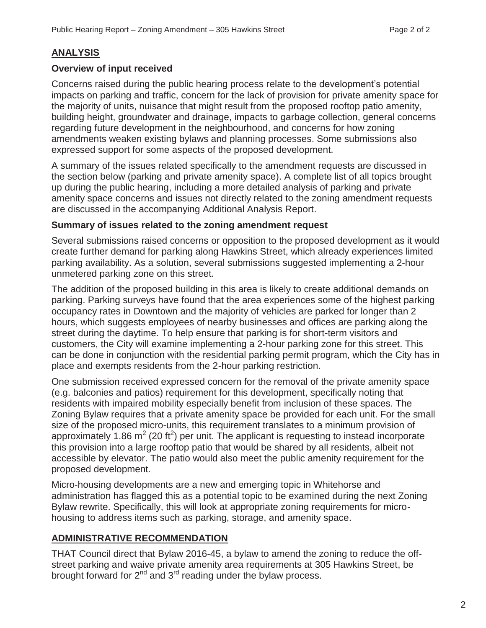#### **ANALYSIS**

#### **Overview of input received**

Concerns raised during the public hearing process relate to the development's potential impacts on parking and traffic, concern for the lack of provision for private amenity space for the majority of units, nuisance that might result from the proposed rooftop patio amenity, building height, groundwater and drainage, impacts to garbage collection, general concerns regarding future development in the neighbourhood, and concerns for how zoning amendments weaken existing bylaws and planning processes. Some submissions also expressed support for some aspects of the proposed development.

A summary of the issues related specifically to the amendment requests are discussed in the section below (parking and private amenity space). A complete list of all topics brought up during the public hearing, including a more detailed analysis of parking and private amenity space concerns and issues not directly related to the zoning amendment requests are discussed in the accompanying Additional Analysis Report.

#### **Summary of issues related to the zoning amendment request**

Several submissions raised concerns or opposition to the proposed development as it would create further demand for parking along Hawkins Street, which already experiences limited parking availability. As a solution, several submissions suggested implementing a 2-hour unmetered parking zone on this street.

The addition of the proposed building in this area is likely to create additional demands on parking. Parking surveys have found that the area experiences some of the highest parking occupancy rates in Downtown and the majority of vehicles are parked for longer than 2 hours, which suggests employees of nearby businesses and offices are parking along the street during the daytime. To help ensure that parking is for short-term visitors and customers, the City will examine implementing a 2-hour parking zone for this street. This can be done in conjunction with the residential parking permit program, which the City has in place and exempts residents from the 2-hour parking restriction.

One submission received expressed concern for the removal of the private amenity space (e.g. balconies and patios) requirement for this development, specifically noting that residents with impaired mobility especially benefit from inclusion of these spaces. The Zoning Bylaw requires that a private amenity space be provided for each unit. For the small size of the proposed micro-units, this requirement translates to a minimum provision of approximately 1.86  $m^2$  (20 ft<sup>2</sup>) per unit. The applicant is requesting to instead incorporate this provision into a large rooftop patio that would be shared by all residents, albeit not accessible by elevator. The patio would also meet the public amenity requirement for the proposed development.

Micro-housing developments are a new and emerging topic in Whitehorse and administration has flagged this as a potential topic to be examined during the next Zoning Bylaw rewrite. Specifically, this will look at appropriate zoning requirements for microhousing to address items such as parking, storage, and amenity space.

#### **ADMINISTRATIVE RECOMMENDATION**

THAT Council direct that Bylaw 2016-45, a bylaw to amend the zoning to reduce the offstreet parking and waive private amenity area requirements at 305 Hawkins Street, be brought forward for  $2^{nd}$  and  $3^{rd}$  reading under the bylaw process.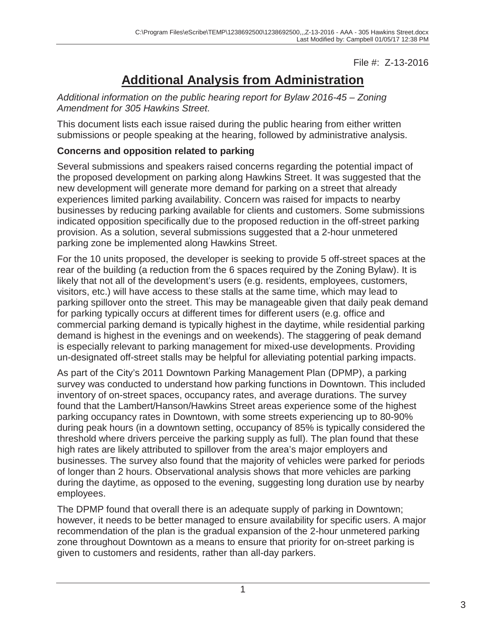File #: Z-13-2016

## **Additional Analysis from Administration**

*Additional information on the public hearing report for Bylaw 2016-45 – Zoning Amendment for 305 Hawkins Street.* 

This document lists each issue raised during the public hearing from either written submissions or people speaking at the hearing, followed by administrative analysis.

## **Concerns and opposition related to parking**

Several submissions and speakers raised concerns regarding the potential impact of the proposed development on parking along Hawkins Street. It was suggested that the new development will generate more demand for parking on a street that already experiences limited parking availability. Concern was raised for impacts to nearby businesses by reducing parking available for clients and customers. Some submissions indicated opposition specifically due to the proposed reduction in the off-street parking provision. As a solution, several submissions suggested that a 2-hour unmetered parking zone be implemented along Hawkins Street.

For the 10 units proposed, the developer is seeking to provide 5 off-street spaces at the rear of the building (a reduction from the 6 spaces required by the Zoning Bylaw). It is likely that not all of the development's users (e.g. residents, employees, customers, visitors, etc.) will have access to these stalls at the same time, which may lead to parking spillover onto the street. This may be manageable given that daily peak demand for parking typically occurs at different times for different users (e.g. office and commercial parking demand is typically highest in the daytime, while residential parking demand is highest in the evenings and on weekends). The staggering of peak demand is especially relevant to parking management for mixed-use developments. Providing un-designated off-street stalls may be helpful for alleviating potential parking impacts.

As part of the City's 2011 Downtown Parking Management Plan (DPMP), a parking survey was conducted to understand how parking functions in Downtown. This included inventory of on-street spaces, occupancy rates, and average durations. The survey found that the Lambert/Hanson/Hawkins Street areas experience some of the highest parking occupancy rates in Downtown, with some streets experiencing up to 80-90% during peak hours (in a downtown setting, occupancy of 85% is typically considered the threshold where drivers perceive the parking supply as full). The plan found that these high rates are likely attributed to spillover from the area's major employers and businesses. The survey also found that the majority of vehicles were parked for periods of longer than 2 hours. Observational analysis shows that more vehicles are parking during the daytime, as opposed to the evening, suggesting long duration use by nearby employees.

The DPMP found that overall there is an adequate supply of parking in Downtown; however, it needs to be better managed to ensure availability for specific users. A major recommendation of the plan is the gradual expansion of the 2-hour unmetered parking zone throughout Downtown as a means to ensure that priority for on-street parking is given to customers and residents, rather than all-day parkers.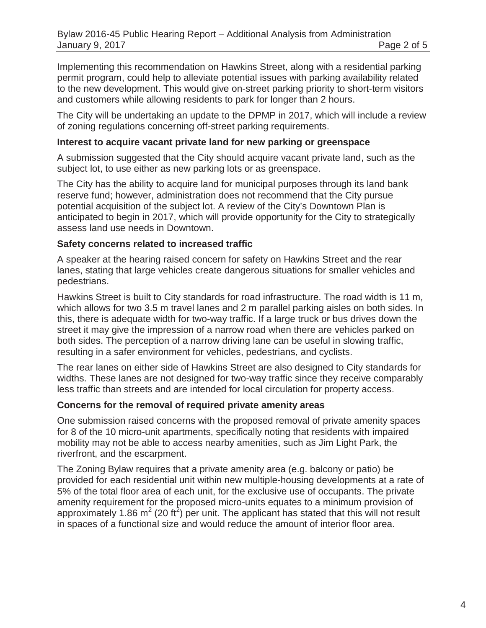Implementing this recommendation on Hawkins Street, along with a residential parking permit program, could help to alleviate potential issues with parking availability related to the new development. This would give on-street parking priority to short-term visitors and customers while allowing residents to park for longer than 2 hours.

The City will be undertaking an update to the DPMP in 2017, which will include a review of zoning regulations concerning off-street parking requirements.

#### **Interest to acquire vacant private land for new parking or greenspace**

A submission suggested that the City should acquire vacant private land, such as the subject lot, to use either as new parking lots or as greenspace.

The City has the ability to acquire land for municipal purposes through its land bank reserve fund; however, administration does not recommend that the City pursue potential acquisition of the subject lot. A review of the City's Downtown Plan is anticipated to begin in 2017, which will provide opportunity for the City to strategically assess land use needs in Downtown.

#### **Safety concerns related to increased traffic**

A speaker at the hearing raised concern for safety on Hawkins Street and the rear lanes, stating that large vehicles create dangerous situations for smaller vehicles and pedestrians.

Hawkins Street is built to City standards for road infrastructure. The road width is 11 m, which allows for two 3.5 m travel lanes and 2 m parallel parking aisles on both sides. In this, there is adequate width for two-way traffic. If a large truck or bus drives down the street it may give the impression of a narrow road when there are vehicles parked on both sides. The perception of a narrow driving lane can be useful in slowing traffic, resulting in a safer environment for vehicles, pedestrians, and cyclists.

The rear lanes on either side of Hawkins Street are also designed to City standards for widths. These lanes are not designed for two-way traffic since they receive comparably less traffic than streets and are intended for local circulation for property access.

#### **Concerns for the removal of required private amenity areas**

One submission raised concerns with the proposed removal of private amenity spaces for 8 of the 10 micro-unit apartments, specifically noting that residents with impaired mobility may not be able to access nearby amenities, such as Jim Light Park, the riverfront, and the escarpment.

The Zoning Bylaw requires that a private amenity area (e.g. balcony or patio) be provided for each residential unit within new multiple-housing developments at a rate of 5% of the total floor area of each unit, for the exclusive use of occupants. The private amenity requirement for the proposed micro-units equates to a minimum provision of approximately 1.86 m<sup>2</sup> (20 ft<sup>2</sup>) per unit. The applicant has stated that this will not result in spaces of a functional size and would reduce the amount of interior floor area.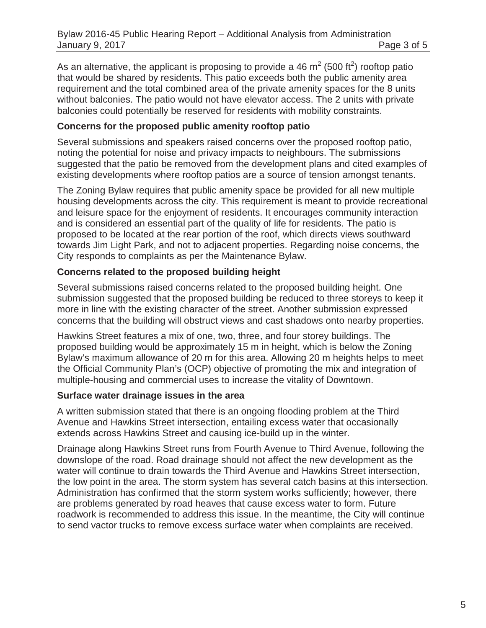As an alternative, the applicant is proposing to provide a 46 m<sup>2</sup> (500 ft<sup>2</sup>) rooftop patio that would be shared by residents. This patio exceeds both the public amenity area requirement and the total combined area of the private amenity spaces for the 8 units without balconies. The patio would not have elevator access. The 2 units with private balconies could potentially be reserved for residents with mobility constraints.

#### **Concerns for the proposed public amenity rooftop patio**

Several submissions and speakers raised concerns over the proposed rooftop patio, noting the potential for noise and privacy impacts to neighbours. The submissions suggested that the patio be removed from the development plans and cited examples of existing developments where rooftop patios are a source of tension amongst tenants.

The Zoning Bylaw requires that public amenity space be provided for all new multiple housing developments across the city. This requirement is meant to provide recreational and leisure space for the enjoyment of residents. It encourages community interaction and is considered an essential part of the quality of life for residents. The patio is proposed to be located at the rear portion of the roof, which directs views southward towards Jim Light Park, and not to adjacent properties. Regarding noise concerns, the City responds to complaints as per the Maintenance Bylaw.

#### **Concerns related to the proposed building height**

Several submissions raised concerns related to the proposed building height. One submission suggested that the proposed building be reduced to three storeys to keep it more in line with the existing character of the street. Another submission expressed concerns that the building will obstruct views and cast shadows onto nearby properties.

Hawkins Street features a mix of one, two, three, and four storey buildings. The proposed building would be approximately 15 m in height, which is below the Zoning Bylaw's maximum allowance of 20 m for this area. Allowing 20 m heights helps to meet the Official Community Plan's (OCP) objective of promoting the mix and integration of multiple-housing and commercial uses to increase the vitality of Downtown.

#### **Surface water drainage issues in the area**

A written submission stated that there is an ongoing flooding problem at the Third Avenue and Hawkins Street intersection, entailing excess water that occasionally extends across Hawkins Street and causing ice-build up in the winter.

Drainage along Hawkins Street runs from Fourth Avenue to Third Avenue, following the downslope of the road. Road drainage should not affect the new development as the water will continue to drain towards the Third Avenue and Hawkins Street intersection, the low point in the area. The storm system has several catch basins at this intersection. Administration has confirmed that the storm system works sufficiently; however, there are problems generated by road heaves that cause excess water to form. Future roadwork is recommended to address this issue. In the meantime, the City will continue to send vactor trucks to remove excess surface water when complaints are received.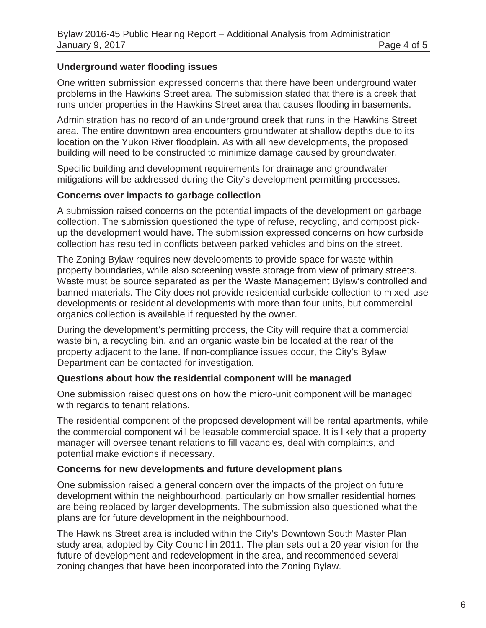#### **Underground water flooding issues**

One written submission expressed concerns that there have been underground water problems in the Hawkins Street area. The submission stated that there is a creek that runs under properties in the Hawkins Street area that causes flooding in basements.

Administration has no record of an underground creek that runs in the Hawkins Street area. The entire downtown area encounters groundwater at shallow depths due to its location on the Yukon River floodplain. As with all new developments, the proposed building will need to be constructed to minimize damage caused by groundwater.

Specific building and development requirements for drainage and groundwater mitigations will be addressed during the City's development permitting processes.

#### **Concerns over impacts to garbage collection**

A submission raised concerns on the potential impacts of the development on garbage collection. The submission questioned the type of refuse, recycling, and compost pickup the development would have. The submission expressed concerns on how curbside collection has resulted in conflicts between parked vehicles and bins on the street.

The Zoning Bylaw requires new developments to provide space for waste within property boundaries, while also screening waste storage from view of primary streets. Waste must be source separated as per the Waste Management Bylaw's controlled and banned materials. The City does not provide residential curbside collection to mixed-use developments or residential developments with more than four units, but commercial organics collection is available if requested by the owner.

During the development's permitting process, the City will require that a commercial waste bin, a recycling bin, and an organic waste bin be located at the rear of the property adjacent to the lane. If non-compliance issues occur, the City's Bylaw Department can be contacted for investigation.

#### **Questions about how the residential component will be managed**

One submission raised questions on how the micro-unit component will be managed with regards to tenant relations.

The residential component of the proposed development will be rental apartments, while the commercial component will be leasable commercial space. It is likely that a property manager will oversee tenant relations to fill vacancies, deal with complaints, and potential make evictions if necessary.

#### **Concerns for new developments and future development plans**

One submission raised a general concern over the impacts of the project on future development within the neighbourhood, particularly on how smaller residential homes are being replaced by larger developments. The submission also questioned what the plans are for future development in the neighbourhood.

The Hawkins Street area is included within the City's Downtown South Master Plan study area, adopted by City Council in 2011. The plan sets out a 20 year vision for the future of development and redevelopment in the area, and recommended several zoning changes that have been incorporated into the Zoning Bylaw.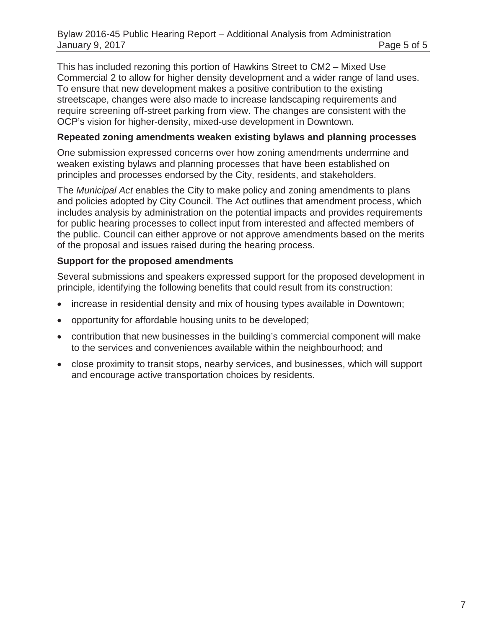This has included rezoning this portion of Hawkins Street to CM2 – Mixed Use Commercial 2 to allow for higher density development and a wider range of land uses. To ensure that new development makes a positive contribution to the existing streetscape, changes were also made to increase landscaping requirements and require screening off-street parking from view. The changes are consistent with the OCP's vision for higher-density, mixed-use development in Downtown.

#### **Repeated zoning amendments weaken existing bylaws and planning processes**

One submission expressed concerns over how zoning amendments undermine and weaken existing bylaws and planning processes that have been established on principles and processes endorsed by the City, residents, and stakeholders.

The *Municipal Act* enables the City to make policy and zoning amendments to plans and policies adopted by City Council. The Act outlines that amendment process, which includes analysis by administration on the potential impacts and provides requirements for public hearing processes to collect input from interested and affected members of the public. Council can either approve or not approve amendments based on the merits of the proposal and issues raised during the hearing process.

#### **Support for the proposed amendments**

Several submissions and speakers expressed support for the proposed development in principle, identifying the following benefits that could result from its construction:

- increase in residential density and mix of housing types available in Downtown;
- opportunity for affordable housing units to be developed;
- contribution that new businesses in the building's commercial component will make to the services and conveniences available within the neighbourhood; and
- close proximity to transit stops, nearby services, and businesses, which will support and encourage active transportation choices by residents.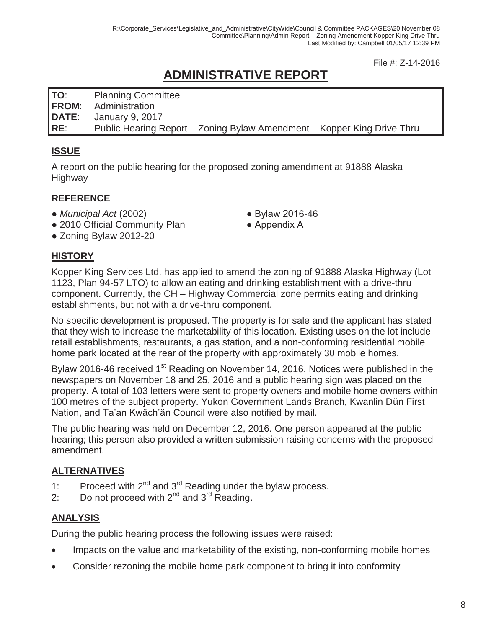File #: Z-14-2016

## **ADMINISTRATIVE REPORT**

**TO**: Planning Committee **FROM**: Administration

**DATE**: January 9, 2017

**RE**: Public Hearing Report – Zoning Bylaw Amendment – Kopper King Drive Thru

## **ISSUE**

A report on the public hearing for the proposed zoning amendment at 91888 Alaska **Highway** 

## **REFERENCE**

- *Municipal Act* (2002)
- 2010 Official Community Plan
- Zoning Bylaw 2012-20

## **HISTORY**

Kopper King Services Ltd. has applied to amend the zoning of 91888 Alaska Highway (Lot 1123, Plan 94-57 LTO) to allow an eating and drinking establishment with a drive-thru component. Currently, the CH – Highway Commercial zone permits eating and drinking establishments, but not with a drive-thru component.

No specific development is proposed. The property is for sale and the applicant has stated that they wish to increase the marketability of this location. Existing uses on the lot include retail establishments, restaurants, a gas station, and a non-conforming residential mobile home park located at the rear of the property with approximately 30 mobile homes.

Bylaw 2016-46 received 1<sup>st</sup> Reading on November 14, 2016. Notices were published in the newspapers on November 18 and 25, 2016 and a public hearing sign was placed on the property. A total of 103 letters were sent to property owners and mobile home owners within 100 metres of the subject property. Yukon Government Lands Branch, Kwanlin Dün First Nation, and Ta'an Kwäch'än Council were also notified by mail.

The public hearing was held on December 12, 2016. One person appeared at the public hearing; this person also provided a written submission raising concerns with the proposed amendment.

## **ALTERNATIVES**

- 1: Proceed with  $2^{nd}$  and  $3^{rd}$  Reading under the bylaw process.
- 2: Do not proceed with  $2^{nd}$  and  $3^{rd}$  Reading.

## **ANALYSIS**

During the public hearing process the following issues were raised:

- Impacts on the value and marketability of the existing, non-conforming mobile homes
- Consider rezoning the mobile home park component to bring it into conformity
- Bylaw 2016-46
- Appendix A